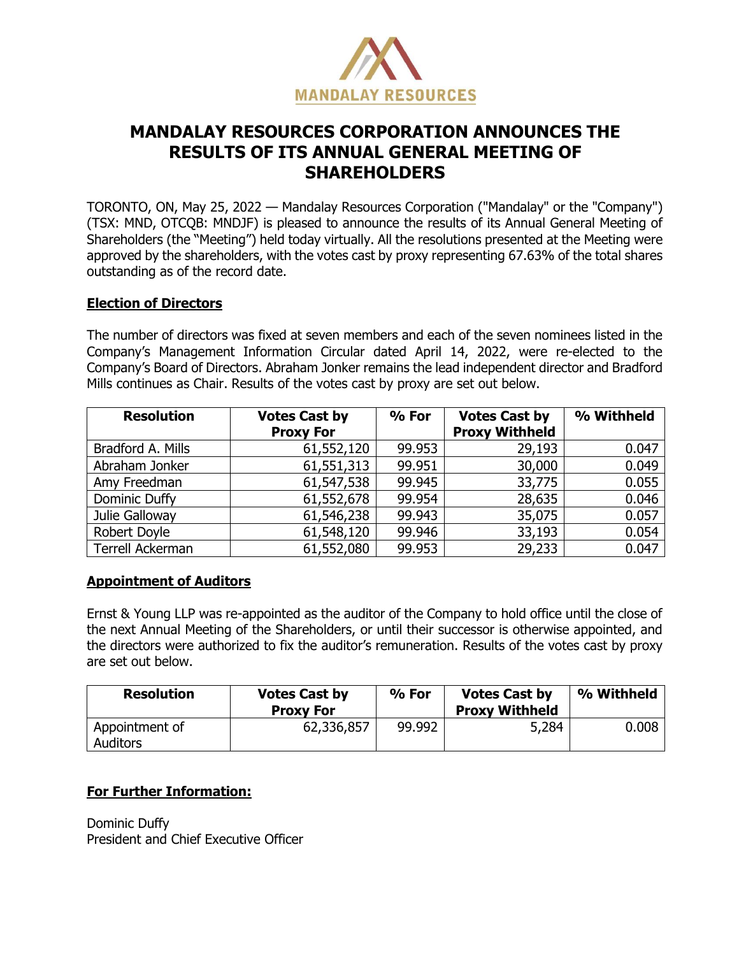

# **MANDALAY RESOURCES CORPORATION ANNOUNCES THE RESULTS OF ITS ANNUAL GENERAL MEETING OF SHAREHOLDERS**

TORONTO, ON, May 25, 2022 — Mandalay Resources Corporation ("Mandalay" or the "Company") (TSX: MND, OTCQB: MNDJF) is pleased to announce the results of its Annual General Meeting of Shareholders (the "Meeting") held today virtually. All the resolutions presented at the Meeting were approved by the shareholders, with the votes cast by proxy representing 67.63% of the total shares outstanding as of the record date.

### **Election of Directors**

The number of directors was fixed at seven members and each of the seven nominees listed in the Company's Management Information Circular dated April 14, 2022, were re-elected to the Company's Board of Directors. Abraham Jonker remains the lead independent director and Bradford Mills continues as Chair. Results of the votes cast by proxy are set out below.

| <b>Resolution</b> | <b>Votes Cast by</b> | % For  | <b>Votes Cast by</b>  | % Withheld |
|-------------------|----------------------|--------|-----------------------|------------|
|                   | <b>Proxy For</b>     |        | <b>Proxy Withheld</b> |            |
| Bradford A. Mills | 61,552,120           | 99.953 | 29,193                | 0.047      |
| Abraham Jonker    | 61,551,313           | 99.951 | 30,000                | 0.049      |
| Amy Freedman      | 61,547,538           | 99.945 | 33,775                | 0.055      |
| Dominic Duffy     | 61,552,678           | 99.954 | 28,635                | 0.046      |
| Julie Galloway    | 61,546,238           | 99.943 | 35,075                | 0.057      |
| Robert Doyle      | 61,548,120           | 99.946 | 33,193                | 0.054      |
| Terrell Ackerman  | 61,552,080           | 99.953 | 29,233                | 0.047      |

#### **Appointment of Auditors**

Ernst & Young LLP was re-appointed as the auditor of the Company to hold office until the close of the next Annual Meeting of the Shareholders, or until their successor is otherwise appointed, and the directors were authorized to fix the auditor's remuneration. Results of the votes cast by proxy are set out below.

| <b>Resolution</b>                 | <b>Votes Cast by</b><br><b>Proxy For</b> | % For  | <b>Votes Cast by</b><br><b>Proxy Withheld</b> | % Withheld |
|-----------------------------------|------------------------------------------|--------|-----------------------------------------------|------------|
| Appointment of<br><b>Auditors</b> | 62,336,857                               | 99.992 | 5,284                                         | 0.008      |

## **For Further Information:**

Dominic Duffy President and Chief Executive Officer